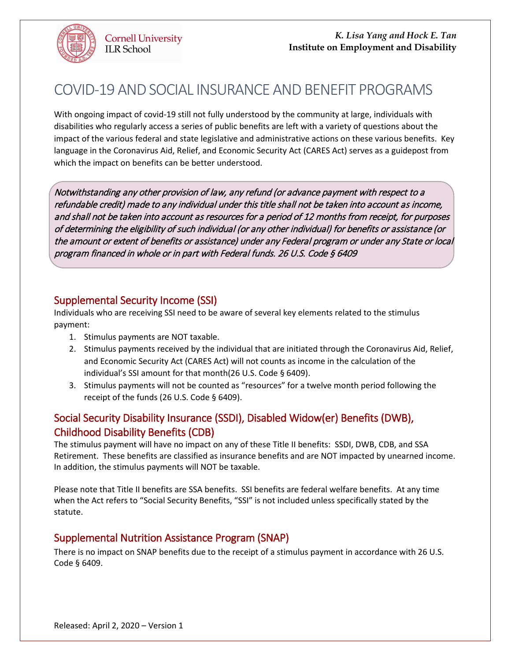

# COVID-19 AND SOCIAL INSURANCE AND BENEFIT PROGRAMS

With ongoing impact of covid-19 still not fully understood by the community at large, individuals with disabilities who regularly access a series of public benefits are left with a variety of questions about the impact of the various federal and state legislative and administrative actions on these various benefits. Key language in the Coronavirus Aid, Relief, and Economic Security Act (CARES Act) serves as a guidepost from which the impact on benefits can be better understood.

Notwithstanding any other provision of law, any refund (or advance payment with respect to a refundable credit) made to any individual under this title shall not be taken into account as income, and shall not be taken into account as resources for a period of 12 months from receipt, for purposes of determining the eligibility of such individual (or any other individual) for benefits or assistance (or the amount or extent of benefits or assistance) under any Federal program or under any State or local program financed in whole or in part with Federal funds. 26 U.S. Code § 6409

## Supplemental Security Income (SSI)

Individuals who are receiving SSI need to be aware of several key elements related to the stimulus payment:

- 1. Stimulus payments are NOT taxable.
- 2. Stimulus payments received by the individual that are initiated through the Coronavirus Aid, Relief, and Economic Security Act (CARES Act) will not counts as income in the calculation of the individual's SSI amount for that month(26 U.S. Code § 6409).
- 3. Stimulus payments will not be counted as "resources" for a twelve month period following the receipt of the funds (26 U.S. Code § 6409).

# Social Security Disability Insurance (SSDI), Disabled Widow(er) Benefits (DWB), Childhood Disability Benefits (CDB)

The stimulus payment will have no impact on any of these Title II benefits: SSDI, DWB, CDB, and SSA Retirement. These benefits are classified as insurance benefits and are NOT impacted by unearned income. In addition, the stimulus payments will NOT be taxable.

Please note that Title II benefits are SSA benefits. SSI benefits are federal welfare benefits. At any time when the Act refers to "Social Security Benefits, "SSI" is not included unless specifically stated by the statute.

# Supplemental Nutrition Assistance Program (SNAP)

There is no impact on SNAP benefits due to the receipt of a stimulus payment in accordance with 26 U.S. Code § 6409.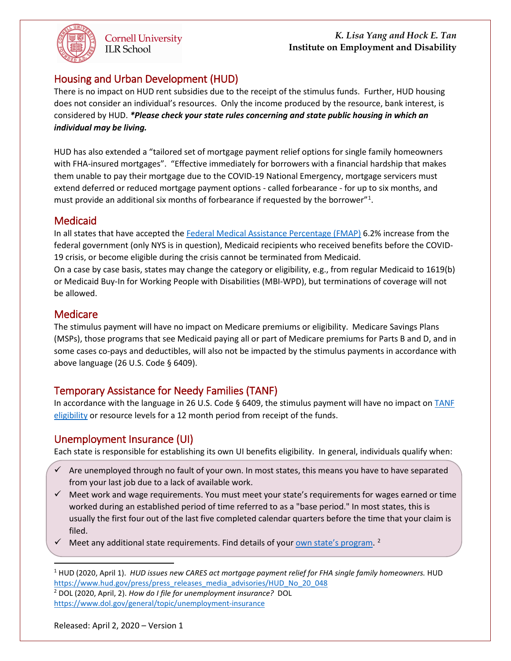

**Cornell University ILR School** 

#### *K. Lisa Yang and Hock E. Tan* **Institute on Employment and Disability**

# Housing and Urban Development (HUD)

There is no impact on HUD rent subsidies due to the receipt of the stimulus funds. Further, HUD housing does not consider an individual's resources. Only the income produced by the resource, bank interest, is considered by HUD. *\*Please check your state rules concerning and state public housing in which an individual may be living.*

HUD has also extended a "tailored set of mortgage payment relief options for single family homeowners with FHA-insured mortgages". "Effective immediately for borrowers with a financial hardship that makes them unable to pay their mortgage due to the COVID-19 National Emergency, mortgage servicers must extend deferred or reduced mortgage payment options - called forbearance - for up to six months, and must provide an additional six months of forbearance if requested by the borrower"<sup>[1](#page-1-0)</sup>.

### **Medicaid**

In all states that have accepted th[e Federal Medical Assistance Percentage \(FMAP\)](https://www.medicaid.gov/state-resource-center/downloads/covid-19-section-6008-faqs.pdf) 6.2% increase from the federal government (only NYS is in question), Medicaid recipients who received benefits before the COVID-19 crisis, or become eligible during the crisis cannot be terminated from Medicaid.

On a case by case basis, states may change the category or eligibility, e.g., from regular Medicaid to 1619(b) or Medicaid Buy-In for Working People with Disabilities (MBI-WPD), but terminations of coverage will not be allowed.

## **Medicare**

The stimulus payment will have no impact on Medicare premiums or eligibility. Medicare Savings Plans (MSPs), those programs that see Medicaid paying all or part of Medicare premiums for Parts B and D, and in some cases co-pays and deductibles, will also not be impacted by the stimulus payments in accordance with above language (26 U.S. Code § 6409).

# Temporary Assistance for Needy Families (TANF)

In accordance with the language in 26 U.S. Code § 6409, the stimulus payment will have no impact on TANF [eligibility](https://www.benefits.gov/benefit/613) or resource levels for a 12 month period from receipt of the funds.

# Unemployment Insurance (UI)

Each state is responsible for establishing its own UI benefits eligibility. In general, individuals qualify when:

- $\checkmark$  Are unemployed through no fault of your own. In most states, this means you have to have separated from your last job due to a lack of available work.
- $\checkmark$  Meet work and wage requirements. You must meet your state's requirements for wages earned or time worked during an established period of time referred to as a "base period." In most states, this is usually the first four out of the last five completed calendar quarters before the time that your claim is filed.
- $\checkmark$  Meet any additional state requirements. Find details of your [own state's program.](https://www.careeronestop.org/LocalHelp/UnemploymentBenefits/find-unemployment-benefits.aspx) <sup>[2](#page-1-1)</sup>

<span id="page-1-0"></span> <sup>1</sup> HUD (2020, April 1). *HUD issues new CARES act mortgage payment relief for FHA single family homeowners.* HUD [https://www.hud.gov/press/press\\_releases\\_media\\_advisories/HUD\\_No\\_20\\_048](https://www.hud.gov/press/press_releases_media_advisories/HUD_No_20_048)

<span id="page-1-1"></span><sup>2</sup> DOL (2020, April, 2). *How do I file for unemployment insurance?* DOL <https://www.dol.gov/general/topic/unemployment-insurance>